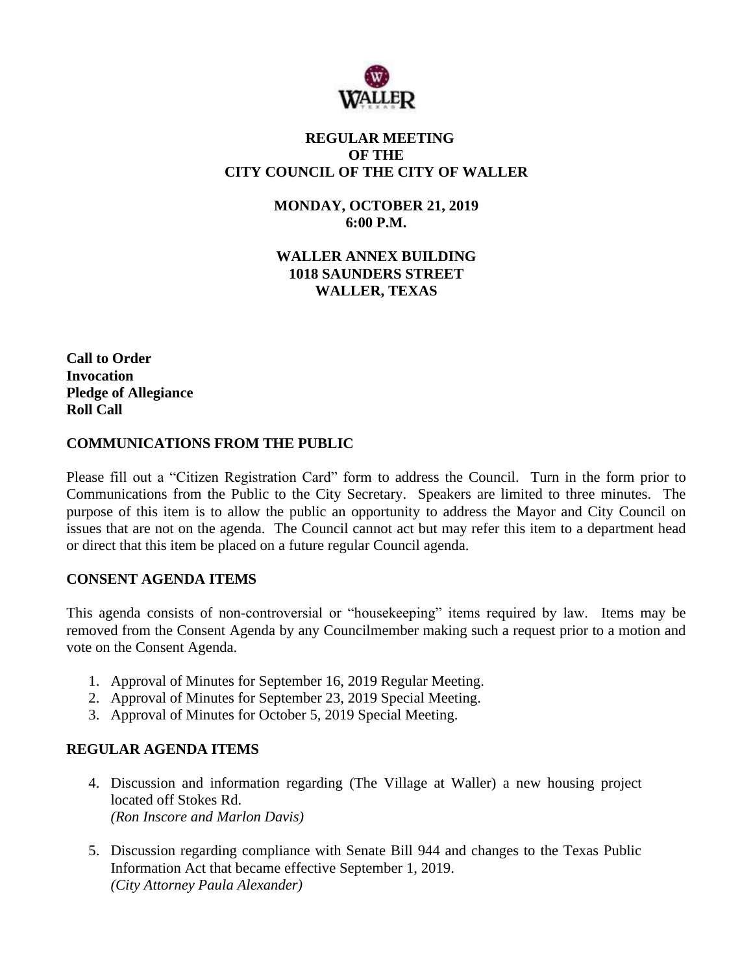

# **REGULAR MEETING OF THE CITY COUNCIL OF THE CITY OF WALLER**

**MONDAY, OCTOBER 21, 2019 6:00 P.M.**

**WALLER ANNEX BUILDING 1018 SAUNDERS STREET WALLER, TEXAS**

**Call to Order Invocation Pledge of Allegiance Roll Call**

### **COMMUNICATIONS FROM THE PUBLIC**

Please fill out a "Citizen Registration Card" form to address the Council. Turn in the form prior to Communications from the Public to the City Secretary. Speakers are limited to three minutes. The purpose of this item is to allow the public an opportunity to address the Mayor and City Council on issues that are not on the agenda. The Council cannot act but may refer this item to a department head or direct that this item be placed on a future regular Council agenda.

### **CONSENT AGENDA ITEMS**

This agenda consists of non-controversial or "housekeeping" items required by law. Items may be removed from the Consent Agenda by any Councilmember making such a request prior to a motion and vote on the Consent Agenda.

- 1. Approval of Minutes for September 16, 2019 Regular Meeting.
- 2. Approval of Minutes for September 23, 2019 Special Meeting.
- 3. Approval of Minutes for October 5, 2019 Special Meeting.

# **REGULAR AGENDA ITEMS**

- 4. Discussion and information regarding (The Village at Waller) a new housing project located off Stokes Rd. *(Ron Inscore and Marlon Davis)*
- 5. Discussion regarding compliance with Senate Bill 944 and changes to the Texas Public Information Act that became effective September 1, 2019. *(City Attorney Paula Alexander)*